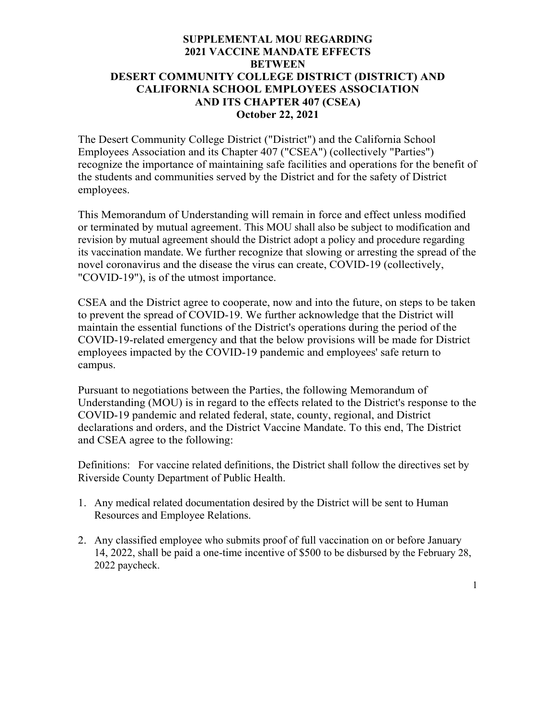### **SUPPLEMENTAL MOU REGARDING 2021 VACCINE MANDATE EFFECTS BETWEEN DESERT COMMUNITY COLLEGE DISTRICT (DISTRICT) AND CALIFORNIA SCHOOL EMPLOYEES ASSOCIATION AND ITS CHAPTER 407 (CSEA) October 22, 2021**

The Desert Community College District ("District") and the California School Employees Association and its Chapter 407 ("CSEA") (collectively "Parties") recognize the importance of maintaining safe facilities and operations for the benefit of the students and communities served by the District and for the safety of District employees.

This Memorandum of Understanding will remain in force and effect unless modified or terminated by mutual agreement. This MOU shall also be subject to modification and revision by mutual agreement should the District adopt a policy and procedure regarding its vaccination mandate. We further recognize that slowing or arresting the spread of the novel coronavirus and the disease the virus can create, COVID-19 (collectively, "COVID-19"), is of the utmost importance.

CSEA and the District agree to cooperate, now and into the future, on steps to be taken to prevent the spread of COVID-19. We further acknowledge that the District will maintain the essential functions of the District's operations during the period of the COVID-19-related emergency and that the below provisions will be made for District employees impacted by the COVID-19 pandemic and employees' safe return to campus.

Pursuant to negotiations between the Parties, the following Memorandum of Understanding (MOU) is in regard to the effects related to the District's response to the COVID-19 pandemic and related federal, state, county, regional, and District declarations and orders, and the District Vaccine Mandate. To this end, The District and CSEA agree to the following:

Definitions: For vaccine related definitions, the District shall follow the directives set by Riverside County Department of Public Health.

- 1. Any medical related documentation desired by the District will be sent to Human Resources and Employee Relations.
- 2. Any classified employee who submits proof of full vaccination on or before January 14, 2022, shall be paid a one-time incentive of \$500 to be disbursed by the February 28, 2022 paycheck.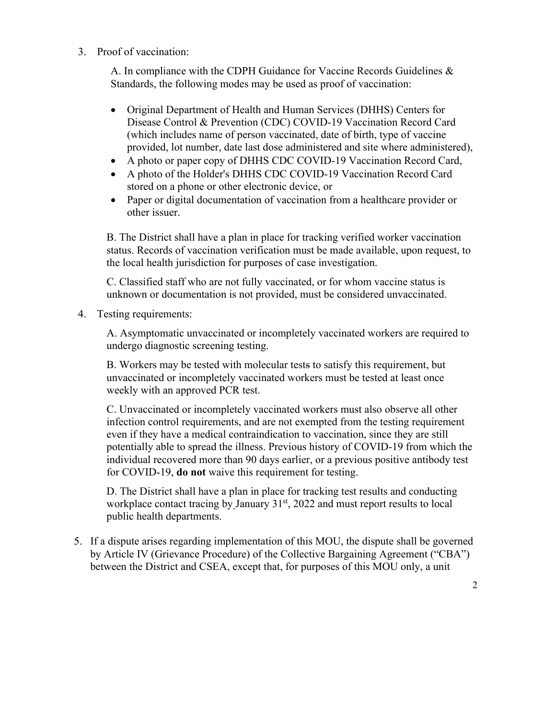3. Proof of vaccination:

A. In compliance with the CDPH Guidance for Vaccine Records Guidelines & Standards, the following modes may be used as proof of vaccination:

- Original Department of Health and Human Services (DHHS) Centers for Disease Control & Prevention (CDC) COVID-19 Vaccination Record Card (which includes name of person vaccinated, date of birth, type of vaccine provided, lot number, date last dose administered and site where administered),
- A photo or paper copy of DHHS CDC COVID-19 Vaccination Record Card,
- A photo of the Holder's DHHS CDC COVID-19 Vaccination Record Card stored on a phone or other electronic device, or
- Paper or digital documentation of vaccination from a healthcare provider or other issuer.

B. The District shall have a plan in place for tracking verified worker vaccination status. Records of vaccination verification must be made available, upon request, to the local health jurisdiction for purposes of case investigation.

C. Classified staff who are not fully vaccinated, or for whom vaccine status is unknown or documentation is not provided, must be considered unvaccinated.

4. Testing requirements:

A. Asymptomatic unvaccinated or incompletely vaccinated workers are required to undergo diagnostic screening testing.

B. Workers may be tested with molecular tests to satisfy this requirement, but unvaccinated or incompletely vaccinated workers must be tested at least once weekly with an approved PCR test.

C. Unvaccinated or incompletely vaccinated workers must also observe all other infection control requirements, and are not exempted from the testing requirement even if they have a medical contraindication to vaccination, since they are still potentially able to spread the illness. Previous history of COVID-19 from which the individual recovered more than 90 days earlier, or a previous positive antibody test for COVID-19, **do not** waive this requirement for testing.

D. The District shall have a plan in place for tracking test results and conducting workplace contact tracing by January 31<sup>st</sup>, 2022 and must report results to local public health departments.

5. If a dispute arises regarding implementation of this MOU, the dispute shall be governed by Article IV (Grievance Procedure) of the Collective Bargaining Agreement ("CBA") between the District and CSEA, except that, for purposes of this MOU only, a unit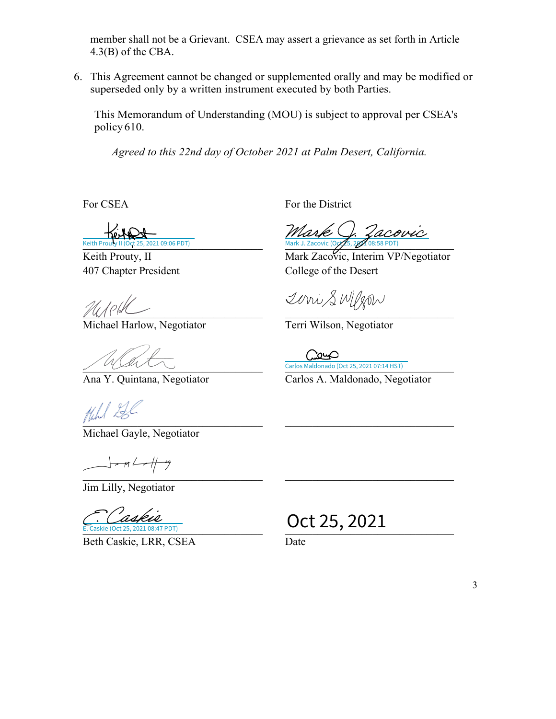member shall not be a Grievant. CSEA may assert a grievance as set forth in Article 4.3(B) of the CBA.

6. This Agreement cannot be changed or supplemented orally and may be modified or superseded only by a written instrument executed by both Parties.

This Memorandum of Understanding (MOU) is subject to approval per CSEA's policy 610.

*Agreed to this 22nd day of October 2021 at Palm Desert, California.* 

21 09:06 PDT)

Keith Prouty, II 407 Chapter President

 $\mathbb{Z}$ 

Michael Harlow, Negotiator Terri Wilson, Negotiator

 $\mu_{\rm{max}}$ 

Michael Gayle, Negotiator

 $\frac{1}{\sqrt{1-\frac{1}{2}}\sqrt{1-\frac{1}{2}}}}$  $\mathcal{L}_\text{max}$  , and the contribution of the contribution of the contribution of the contribution of the contribution of the contribution of the contribution of the contribution of the contribution of the contribution of t

Jim Lilly, Negotiator

2021 08:47 PDT) E. Caskie

Beth Caskie, LRR, CSEA Date

For CSEA For the District

 $\frac{1}{\text{ReNN}}$ <br> $\frac{1}{\text{ReNN}}$  11 (Oct 25, 2021 09:06 PDT) [Mark J. Zacovic](https://secure.na1.adobesign.com/verifier?tx=CBJCHBCAABAA6DdX4rThepcqqJXRsRwthZ3mxj1sFKh2) (Oct 5, 2020 08:58 PDT)

Mark Zacovic, Interim VP/Negotiator College of the Desert

2000 SWIJZON

**Example 19 And Carlos Maldonado (Oct 25, 2021 07:14 HST)** 

Ana Y. Quintana, Negotiator Carlos A. Maldonado, Negotiator

 $\frac{C}{\epsilon_{c} \cdot \text{Casket}} \frac{C_{\text{c}} \cdot \text{CALC}}{(\text{Oct } 25, 2021 \text{ } 0.8147 \text{ } \text{PDT})}$  Oct 25, 2021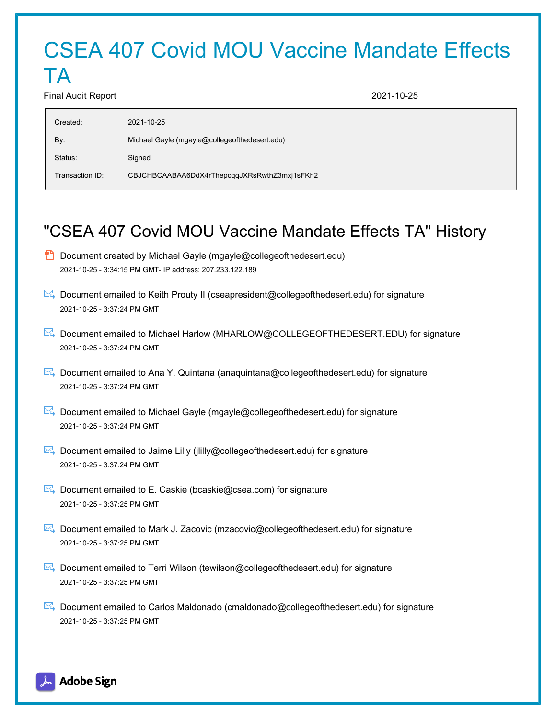# CSEA 407 Covid MOU Vaccine Mandate Effects

#### Final Audit Report 2021-10-25

TA

| Created:        | 2021-10-25                                    |
|-----------------|-----------------------------------------------|
| By:             | Michael Gayle (mgayle@collegeofthedesert.edu) |
| Status:         | Signed                                        |
| Transaction ID: | CBJCHBCAABAA6DdX4rThepcqqJXRsRwthZ3mxj1sFKh2  |

## "CSEA 407 Covid MOU Vaccine Mandate Effects TA" History

- $\Box$  Document created by Michael Gayle (mgayle@collegeofthedesert.edu) 2021-10-25 - 3:34:15 PM GMT- IP address: 207.233.122.189
- Document emailed to Keith Prouty II (cseapresident@collegeofthedesert.edu) for signature 2021-10-25 - 3:37:24 PM GMT
- Document emailed to Michael Harlow (MHARLOW@COLLEGEOFTHEDESERT.EDU) for signature 2021-10-25 - 3:37:24 PM GMT
- Document emailed to Ana Y. Quintana (anaquintana@collegeofthedesert.edu) for signature 2021-10-25 - 3:37:24 PM GMT
- Document emailed to Michael Gayle (mgayle@collegeofthedesert.edu) for signature 2021-10-25 - 3:37:24 PM GMT
- Document emailed to Jaime Lilly (jiilly@collegeofthedesert.edu) for signature 2021-10-25 - 3:37:24 PM GMT
- Document emailed to E. Caskie (bcaskie@csea.com) for signature 2021-10-25 - 3:37:25 PM GMT
- Document emailed to Mark J. Zacovic (mzacovic@collegeofthedesert.edu) for signature 2021-10-25 - 3:37:25 PM GMT
- Document emailed to Terri Wilson (tewilson@collegeofthedesert.edu) for signature 2021-10-25 - 3:37:25 PM GMT
- Document emailed to Carlos Maldonado (cmaldonado@collegeofthedesert.edu) for signature 2021-10-25 - 3:37:25 PM GMT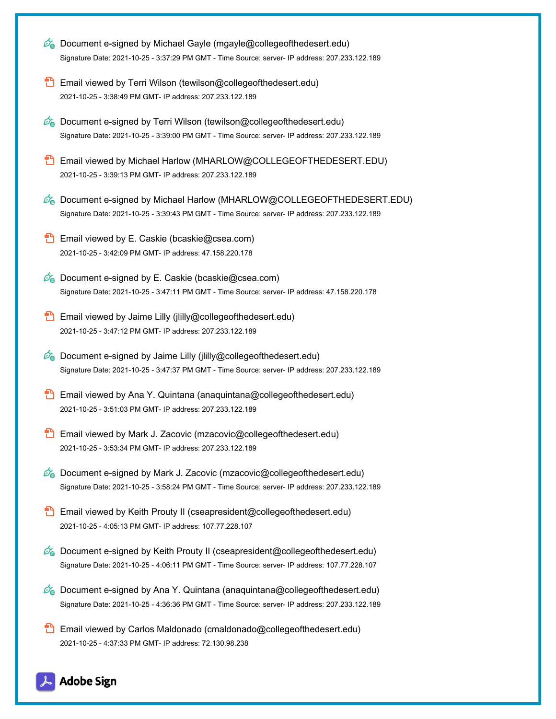| Co Document e-signed by Michael Gayle (mgayle@collegeofthedesert.edu)<br>Signature Date: 2021-10-25 - 3:37:29 PM GMT - Time Source: server- IP address: 207.233.122.189                           |
|---------------------------------------------------------------------------------------------------------------------------------------------------------------------------------------------------|
| Email viewed by Terri Wilson (tewilson@collegeofthedesert.edu)<br>2021-10-25 - 3:38:49 PM GMT- IP address: 207.233.122.189                                                                        |
| <b>Co</b> Document e-signed by Terri Wilson (tewilson@collegeofthedesert.edu)<br>Signature Date: 2021-10-25 - 3:39:00 PM GMT - Time Source: server- IP address: 207.233.122.189                   |
| Email viewed by Michael Harlow (MHARLOW@COLLEGEOFTHEDESERT.EDU)<br>2021-10-25 - 3:39:13 PM GMT- IP address: 207.233.122.189                                                                       |
| Document e-signed by Michael Harlow (MHARLOW@COLLEGEOFTHEDESERT.EDU)<br>Øa<br>Signature Date: 2021-10-25 - 3:39:43 PM GMT - Time Source: server- IP address: 207.233.122.189                      |
| Email viewed by E. Caskie (bcaskie@csea.com)<br>2021-10-25 - 3:42:09 PM GMT- IP address: 47.158.220.178                                                                                           |
| Co Document e-signed by E. Caskie (bcaskie@csea.com)<br>Signature Date: 2021-10-25 - 3:47:11 PM GMT - Time Source: server- IP address: 47.158.220.178                                             |
| Email viewed by Jaime Lilly (jiilly@collegeofthedesert.edu)<br>2021-10-25 - 3:47:12 PM GMT- IP address: 207.233.122.189                                                                           |
| Co Document e-signed by Jaime Lilly (jiilly@collegeofthedesert.edu)<br>Signature Date: 2021-10-25 - 3:47:37 PM GMT - Time Source: server- IP address: 207.233.122.189                             |
| Email viewed by Ana Y. Quintana (anaquintana@collegeofthedesert.edu)<br>2021-10-25 - 3:51:03 PM GMT- IP address: 207.233.122.189                                                                  |
| Email viewed by Mark J. Zacovic (mzacovic@collegeofthedesert.edu)<br>2021-10-25 - 3:53:34 PM GMT- IP address: 207.233.122.189                                                                     |
| $\mathcal{O}_0$ Document e-signed by Mark J. Zacovic (mzacovic@collegeofthedesert.edu)<br>Signature Date: 2021-10-25 - 3:58:24 PM GMT - Time Source: server- IP address: 207.233.122.189          |
| Email viewed by Keith Prouty II (cseapresident@collegeofthedesert.edu)<br>2021-10-25 - 4:05:13 PM GMT- IP address: 107.77.228.107                                                                 |
| <b>Co</b> Document e-signed by Keith Prouty II (cseapresident@collegeofthedesert.edu)<br>Signature Date: 2021-10-25 - 4:06:11 PM GMT - Time Source: server- IP address: 107.77.228.107            |
| $\mathscr{O}_\bullet$ Document e-signed by Ana Y. Quintana (anaquintana@collegeofthedesert.edu)<br>Signature Date: 2021-10-25 - 4:36:36 PM GMT - Time Source: server- IP address: 207.233.122.189 |
| Email viewed by Carlos Maldonado (cmaldonado@collegeofthedesert.edu)<br>2021-10-25 - 4:37:33 PM GMT- IP address: 72.130.98.238                                                                    |

## Adobe Sign